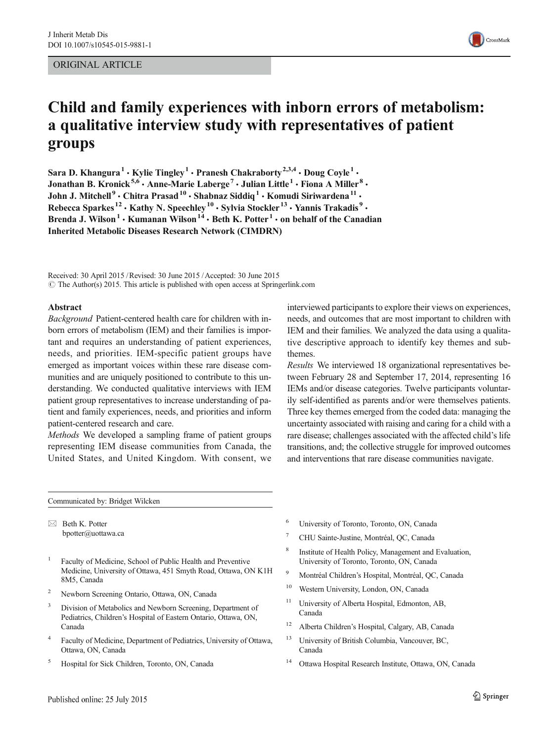ORIGINAL ARTICLE



# Child and family experiences with inborn errors of metabolism: a qualitative interview study with representatives of patient groups

Sara D. Khangura<sup>1</sup>  $\cdot$  Kylie Tingley<sup>1</sup>  $\cdot$  Pranesh Chakraborty<sup>2,3,4</sup>  $\cdot$  Doug Coyle<sup>1</sup>  $\cdot$ Jonathan B. Kronick<sup>5,6</sup>  $\cdot$  Anne-Marie Laberge<sup>7</sup>  $\cdot$  Julian Little<sup>1</sup>  $\cdot$  Fiona A Miller<sup>8</sup> $\cdot$ John J. Mitchell<sup>9</sup> · Chitra Prasad<sup>10</sup> · Shabnaz Siddiq<sup>1</sup> · Komudi Siriwardena<sup>11</sup> · Rebecca Sparkes<sup>12</sup>  $\cdot$  Kathy N. Speechley<sup>10</sup>  $\cdot$  Sylvia Stockler<sup>13</sup>  $\cdot$  Yannis Trakadis<sup>9</sup>  $\cdot$ Brenda J. Wilson<sup>1</sup>  $\cdot$  Kumanan Wilson<sup>14</sup>  $\cdot$  Beth K. Potter<sup>1</sup>  $\cdot$  on behalf of the Canadian Inherited Metabolic Diseases Research Network (CIMDRN)

Received: 30 April 2015 /Revised: 30 June 2015 /Accepted: 30 June 2015  $\odot$  The Author(s) 2015. This article is published with open access at Springerlink.com

## Abstract

Background Patient-centered health care for children with inborn errors of metabolism (IEM) and their families is important and requires an understanding of patient experiences, needs, and priorities. IEM-specific patient groups have emerged as important voices within these rare disease communities and are uniquely positioned to contribute to this understanding. We conducted qualitative interviews with IEM patient group representatives to increase understanding of patient and family experiences, needs, and priorities and inform patient-centered research and care.

Methods We developed a sampling frame of patient groups representing IEM disease communities from Canada, the United States, and United Kingdom. With consent, we interviewed participants to explore their views on experiences, needs, and outcomes that are most important to children with IEM and their families. We analyzed the data using a qualitative descriptive approach to identify key themes and subthemes.

Results We interviewed 18 organizational representatives between February 28 and September 17, 2014, representing 16 IEMs and/or disease categories. Twelve participants voluntarily self-identified as parents and/or were themselves patients. Three key themes emerged from the coded data: managing the uncertainty associated with raising and caring for a child with a rare disease; challenges associated with the affected child's life transitions, and; the collective struggle for improved outcomes and interventions that rare disease communities navigate.

Communicated by: Bridget Wilcken

 $\boxtimes$  Beth K. Potter bpotter@uottawa.ca

- <sup>1</sup> Faculty of Medicine, School of Public Health and Preventive Medicine, University of Ottawa, 451 Smyth Road, Ottawa, ON K1H 8M5, Canada
- <sup>2</sup> Newborn Screening Ontario, Ottawa, ON, Canada
- <sup>3</sup> Division of Metabolics and Newborn Screening, Department of Pediatrics, Children's Hospital of Eastern Ontario, Ottawa, ON, Canada
- <sup>4</sup> Faculty of Medicine, Department of Pediatrics, University of Ottawa, Ottawa, ON, Canada
- <sup>5</sup> Hospital for Sick Children, Toronto, ON, Canada
- <sup>6</sup> University of Toronto, Toronto, ON, Canada
- <sup>7</sup> CHU Sainte-Justine, Montréal, QC, Canada
- Institute of Health Policy, Management and Evaluation, University of Toronto, Toronto, ON, Canada
- <sup>9</sup> Montréal Children's Hospital, Montréal, QC, Canada
- <sup>10</sup> Western University, London, ON, Canada
- <sup>11</sup> University of Alberta Hospital, Edmonton, AB, Canada
- <sup>12</sup> Alberta Children's Hospital, Calgary, AB, Canada
- <sup>13</sup> University of British Columbia, Vancouver, BC, Canada
- <sup>14</sup> Ottawa Hospital Research Institute, Ottawa, ON, Canada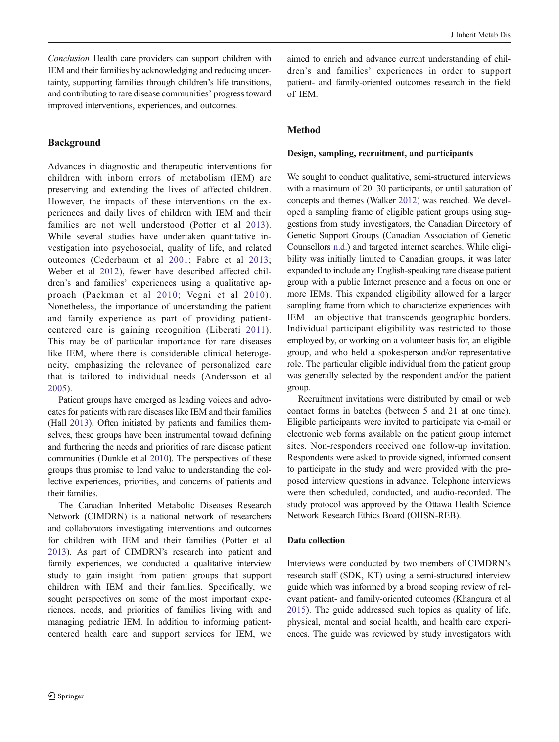Conclusion Health care providers can support children with IEM and their families by acknowledging and reducing uncertainty, supporting families through children's life transitions, and contributing to rare disease communities' progress toward improved interventions, experiences, and outcomes.

# Background

Advances in diagnostic and therapeutic interventions for children with inborn errors of metabolism (IEM) are preserving and extending the lives of affected children. However, the impacts of these interventions on the experiences and daily lives of children with IEM and their families are not well understood (Potter et al [2013](#page-8-0)). While several studies have undertaken quantitative investigation into psychosocial, quality of life, and related outcomes (Cederbaum et al [2001](#page-8-0); Fabre et al [2013](#page-8-0); Weber et al [2012\)](#page-8-0), fewer have described affected children's and families' experiences using a qualitative approach (Packman et al [2010;](#page-8-0) Vegni et al [2010\)](#page-8-0). Nonetheless, the importance of understanding the patient and family experience as part of providing patientcentered care is gaining recognition (Liberati [2011](#page-8-0)). This may be of particular importance for rare diseases like IEM, where there is considerable clinical heterogeneity, emphasizing the relevance of personalized care that is tailored to individual needs (Andersson et al [2005](#page-8-0)).

Patient groups have emerged as leading voices and advocates for patients with rare diseases like IEM and their families (Hall [2013\)](#page-8-0). Often initiated by patients and families themselves, these groups have been instrumental toward defining and furthering the needs and priorities of rare disease patient communities (Dunkle et al [2010\)](#page-8-0). The perspectives of these groups thus promise to lend value to understanding the collective experiences, priorities, and concerns of patients and their families.

The Canadian Inherited Metabolic Diseases Research Network (CIMDRN) is a national network of researchers and collaborators investigating interventions and outcomes for children with IEM and their families (Potter et al [2013\)](#page-8-0). As part of CIMDRN's research into patient and family experiences, we conducted a qualitative interview study to gain insight from patient groups that support children with IEM and their families. Specifically, we sought perspectives on some of the most important experiences, needs, and priorities of families living with and managing pediatric IEM. In addition to informing patientcentered health care and support services for IEM, we

aimed to enrich and advance current understanding of children's and families' experiences in order to support patient- and family-oriented outcomes research in the field of IEM.

# Method

#### Design, sampling, recruitment, and participants

We sought to conduct qualitative, semi-structured interviews with a maximum of 20–30 participants, or until saturation of concepts and themes (Walker [2012](#page-8-0)) was reached. We developed a sampling frame of eligible patient groups using suggestions from study investigators, the Canadian Directory of Genetic Support Groups (Canadian Association of Genetic Counsellors [n.d.\)](#page-8-0) and targeted internet searches. While eligibility was initially limited to Canadian groups, it was later expanded to include any English-speaking rare disease patient group with a public Internet presence and a focus on one or more IEMs. This expanded eligibility allowed for a larger sampling frame from which to characterize experiences with IEM—an objective that transcends geographic borders. Individual participant eligibility was restricted to those employed by, or working on a volunteer basis for, an eligible group, and who held a spokesperson and/or representative role. The particular eligible individual from the patient group was generally selected by the respondent and/or the patient group.

Recruitment invitations were distributed by email or web contact forms in batches (between 5 and 21 at one time). Eligible participants were invited to participate via e-mail or electronic web forms available on the patient group internet sites. Non-responders received one follow-up invitation. Respondents were asked to provide signed, informed consent to participate in the study and were provided with the proposed interview questions in advance. Telephone interviews were then scheduled, conducted, and audio-recorded. The study protocol was approved by the Ottawa Health Science Network Research Ethics Board (OHSN-REB).

# Data collection

Interviews were conducted by two members of CIMDRN's research staff (SDK, KT) using a semi-structured interview guide which was informed by a broad scoping review of relevant patient- and family-oriented outcomes (Khangura et al [2015](#page-8-0)). The guide addressed such topics as quality of life, physical, mental and social health, and health care experiences. The guide was reviewed by study investigators with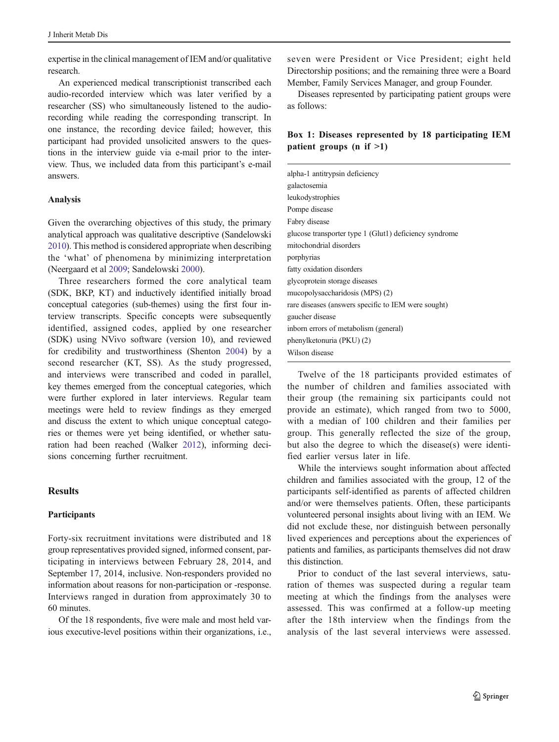expertise in the clinical management of IEM and/or qualitative research.

An experienced medical transcriptionist transcribed each audio-recorded interview which was later verified by a researcher (SS) who simultaneously listened to the audiorecording while reading the corresponding transcript. In one instance, the recording device failed; however, this participant had provided unsolicited answers to the questions in the interview guide via e-mail prior to the interview. Thus, we included data from this participant's e-mail answers.

## Analysis

Given the overarching objectives of this study, the primary analytical approach was qualitative descriptive (Sandelowski [2010\)](#page-8-0). This method is considered appropriate when describing the 'what' of phenomena by minimizing interpretation (Neergaard et al [2009;](#page-8-0) Sandelowski [2000\)](#page-8-0).

Three researchers formed the core analytical team (SDK, BKP, KT) and inductively identified initially broad conceptual categories (sub-themes) using the first four interview transcripts. Specific concepts were subsequently identified, assigned codes, applied by one researcher (SDK) using NVivo software (version 10), and reviewed for credibility and trustworthiness (Shenton [2004](#page-8-0)) by a second researcher (KT, SS). As the study progressed, and interviews were transcribed and coded in parallel, key themes emerged from the conceptual categories, which were further explored in later interviews. Regular team meetings were held to review findings as they emerged and discuss the extent to which unique conceptual categories or themes were yet being identified, or whether saturation had been reached (Walker [2012](#page-8-0)), informing decisions concerning further recruitment.

# **Results**

# **Participants**

Forty-six recruitment invitations were distributed and 18 group representatives provided signed, informed consent, participating in interviews between February 28, 2014, and September 17, 2014, inclusive. Non-responders provided no information about reasons for non-participation or -response. Interviews ranged in duration from approximately 30 to 60 minutes.

Of the 18 respondents, five were male and most held various executive-level positions within their organizations, i.e., seven were President or Vice President; eight held Directorship positions; and the remaining three were a Board Member, Family Services Manager, and group Founder.

Diseases represented by participating patient groups were as follows:

# Box 1: Diseases represented by 18 participating IEM patient groups (n if >1)

Twelve of the 18 participants provided estimates of the number of children and families associated with their group (the remaining six participants could not provide an estimate), which ranged from two to 5000, with a median of 100 children and their families per group. This generally reflected the size of the group, but also the degree to which the disease(s) were identified earlier versus later in life.

While the interviews sought information about affected children and families associated with the group, 12 of the participants self-identified as parents of affected children and/or were themselves patients. Often, these participants volunteered personal insights about living with an IEM. We did not exclude these, nor distinguish between personally lived experiences and perceptions about the experiences of patients and families, as participants themselves did not draw this distinction.

Prior to conduct of the last several interviews, saturation of themes was suspected during a regular team meeting at which the findings from the analyses were assessed. This was confirmed at a follow-up meeting after the 18th interview when the findings from the analysis of the last several interviews were assessed.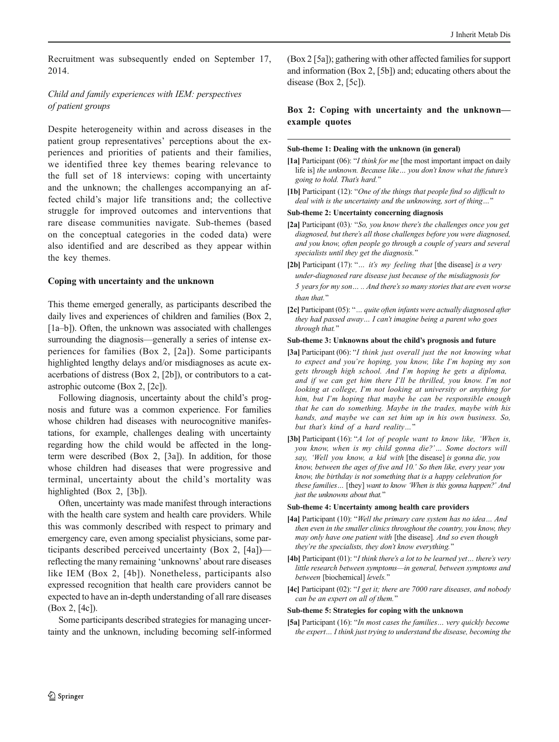Recruitment was subsequently ended on September 17, 2014.

# Child and family experiences with IEM: perspectives of patient groups

Despite heterogeneity within and across diseases in the patient group representatives' perceptions about the experiences and priorities of patients and their families, we identified three key themes bearing relevance to the full set of 18 interviews: coping with uncertainty and the unknown; the challenges accompanying an affected child's major life transitions and; the collective struggle for improved outcomes and interventions that rare disease communities navigate. Sub-themes (based on the conceptual categories in the coded data) were also identified and are described as they appear within the key themes.

# Coping with uncertainty and the unknown

This theme emerged generally, as participants described the daily lives and experiences of children and families (Box 2, [1a–b]). Often, the unknown was associated with challenges surrounding the diagnosis—generally a series of intense experiences for families (Box 2, [2a]). Some participants highlighted lengthy delays and/or misdiagnoses as acute exacerbations of distress (Box 2, [2b]), or contributors to a catastrophic outcome (Box 2, [2c]).

Following diagnosis, uncertainty about the child's prognosis and future was a common experience. For families whose children had diseases with neurocognitive manifestations, for example, challenges dealing with uncertainty regarding how the child would be affected in the longterm were described (Box 2, [3a]). In addition, for those whose children had diseases that were progressive and terminal, uncertainty about the child's mortality was highlighted (Box 2, [3b]).

Often, uncertainty was made manifest through interactions with the health care system and health care providers. While this was commonly described with respect to primary and emergency care, even among specialist physicians, some participants described perceived uncertainty (Box 2, [4a]) reflecting the many remaining 'unknowns' about rare diseases like IEM (Box 2, [4b]). Nonetheless, participants also expressed recognition that health care providers cannot be expected to have an in-depth understanding of all rare diseases (Box 2, [4c]).

Some participants described strategies for managing uncertainty and the unknown, including becoming self-informed (Box 2 [5a]); gathering with other affected families for support and information (Box 2, [5b]) and; educating others about the disease (Box 2, [5c]).

# Box 2: Coping with uncertainty and the unknown example quotes

#### Sub-theme 1: Dealing with the unknown (in general)

- [1a] Participant (06): "*I think for me* [the most important impact on daily life is] the unknown. Because like… you don't know what the future's going to hold. That's hard.^
- [1b] Participant (12): "One of the things that people find so difficult to deal with is the uncertainty and the unknowing, sort of thing..."

#### Sub-theme 2: Uncertainty concerning diagnosis

- [2a] Participant  $(03)$ : "So, you know there's the challenges once you get diagnosed, but there's all those challenges before you were diagnosed, and you know, often people go through a couple of years and several specialists until they get the diagnosis."
- [2b] Participant (17): "... it's my feeling that [the disease] is a very under-diagnosed rare disease just because of the misdiagnosis for 5 years for my son… .. And there's so many stories that are even worse than that. $\ddot{ }$
- [2c] Participant (05): "... quite often infants were actually diagnosed after they had passed away… I can't imagine being a parent who goes through that."

#### Sub-theme 3: Unknowns about the child's prognosis and future

- [3a] Participant (06): "I think just overall just the not knowing what to expect and you're hoping, you know, like I'm hoping my son gets through high school. And I'm hoping he gets a diploma, and if we can get him there I'll be thrilled, you know. I'm not looking at college, I'm not looking at university or anything for him, but I'm hoping that maybe he can be responsible enough that he can do something. Maybe in the trades, maybe with his hands, and maybe we can set him up in his own business. So, but that's kind of a hard reality..."
- [3b] Participant (16): "A lot of people want to know like, 'When is, you know, when is my child gonna die?'… Some doctors will say, 'Well you know, a kid with [the disease] is gonna die, you know, between the ages of five and 10.' So then like, every year you know, the birthday is not something that is a happy celebration for these families… [they] want to know 'When is this gonna happen?' And just the unknowns about that. $\dot{ }$

#### Sub-theme 4: Uncertainty among health care providers

- [4a] Participant  $(10)$ : "Well the primary care system has no idea... And then even in the smaller clinics throughout the country, you know, they may only have one patient with [the disease]. And so even though they're the specialists, they don't know everything."
- [4b] Participant  $(01)$ : "I think there's a lot to be learned yet... there's very little research between symptoms—in general, between symptoms and between [biochemical] levels."
- [4c] Participant (02): "I get it; there are 7000 rare diseases, and nobody can be an expert on all of them."

#### Sub-theme 5: Strategies for coping with the unknown

[5a] Participant (16): "In most cases the families... very quickly become the expert… I think just trying to understand the disease, becoming the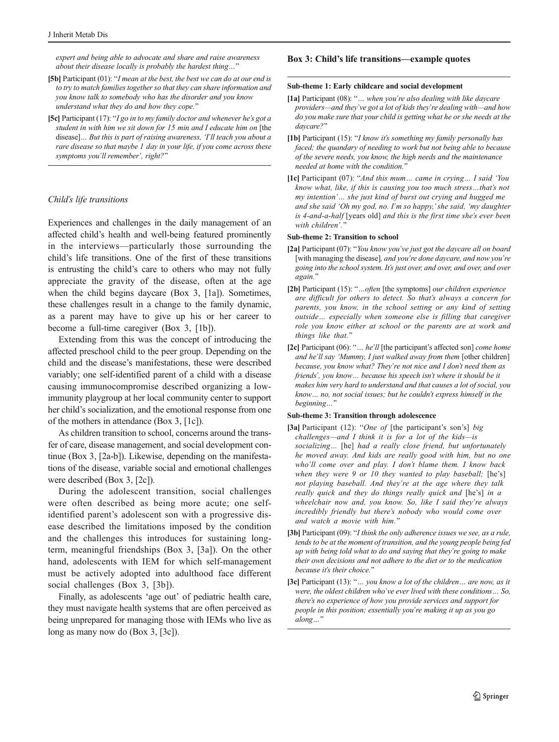expert and being able to advocate and share and raise awareness about their disease locally is probably the hardest thing..."

- [5b] Participant  $(01)$ : "I mean at the best, the best we can do at our end is to try to match families together so that they can share information and you know talk to somebody who has the disorder and you know understand what they do and how they cope."
- [5c] Participant (17): "I go in to my family doctor and whenever he's got a student in with him we sit down for 15 min and I educate him on [the disease]... But this is part of raising awareness, 'I'll teach you about a rare disease so that maybe 1 day in your life, if you come across these symptoms you'll remember', right?"

#### Child's life transitions

Experiences and challenges in the daily management of an affected child's health and well-being featured prominently in the interviews—particularly those surrounding the child's life transitions. One of the first of these transitions is entrusting the child's care to others who may not fully appreciate the gravity of the disease, often at the age when the child begins daycare (Box 3, [1a]). Sometimes, these challenges result in a change to the family dynamic, as a parent may have to give up his or her career to become a full-time caregiver (Box 3, [1b]).

Extending from this was the concept of introducing the affected preschool child to the peer group. Depending on the child and the disease's manifestations, these were described variably; one self-identified parent of a child with a disease causing immunocompromise described organizing a lowimmunity playgroup at her local community center to support her child's socialization, and the emotional response from one of the mothers in attendance (Box 3, [1c]).

As children transition to school, concerns around the transfer of care, disease management, and social development continue (Box 3, [2a-b]). Likewise, depending on the manifestations of the disease, variable social and emotional challenges were described (Box 3, [2c]).

During the adolescent transition, social challenges were often described as being more acute; one selfidentified parent's adolescent son with a progressive disease described the limitations imposed by the condition and the challenges this introduces for sustaining longterm, meaningful friendships (Box 3, [3a]). On the other hand, adolescents with IEM for which self-management must be actively adopted into adulthood face different social challenges (Box 3, [3b]).

Finally, as adolescents 'age out' of pediatric health care, they must navigate health systems that are often perceived as being unprepared for managing those with IEMs who live as long as many now do (Box 3, [3c]).

#### Box 3: Child's life transitions—example quotes

#### Sub-theme 1: Early childcare and social development

- [1a] Participant  $(08)$ : "... when you're also dealing with like daycare providers—and they've got a lot of kids they're dealing with—and how do you make sure that your child is getting what he or she needs at the daycare?"
- [1b] Participant (15): "I know it's something my family personally has faced; the quandary of needing to work but not being able to because of the severe needs, you know, the high needs and the maintenance needed at home with the condition."
- [1c] Participant (07): "And this mum... came in crying... I said 'You know what, like, if this is causing you too much stress…that's not my intention'… she just kind of burst out crying and hugged me and she said 'Oh my god, no. I'm so happy,'she said, 'my daughter is 4-and-a-half [years old] and this is the first time she's ever been with children'.'

#### Sub-theme 2: Transition to school

- [2a] Participant  $(07)$ : "You know you've just got the daycare all on board [with managing the disease], and you're done daycare, and now you're going into the school system. It's just over, and over, and over, and over again."
- [ $2b$ ] Participant (15): "...often [the symptoms] our children experience are difficult for others to detect. So that's always a concern for parents, you know, in the school setting or any kind of setting outside… especially when someone else is filling that caregiver role you know either at school or the parents are at work and things like that."
- [2c] Participant (06): "... he'll [the participant's affected son] come home and he'll say 'Mummy, I just walked away from them [other children] because, you know what? They're not nice and I don't need them as friends', you know… because his speech isn't where it should be it makes him very hard to understand and that causes a lot of social, you know… no, not social issues; but he couldn't express himself in the beginning…^

#### Sub-theme 3: Transition through adolescence

- [3a] Participant (12): "One of [the participant's son's] big challenges—and I think it is for a lot of the kids—is socializing… [he] had a really close friend, but unfortunately he moved away. And kids are really good with him, but no one who'll come over and play. I don't blame them. I know back when they were 9 or 10 they wanted to play baseball; [he's] not playing baseball. And they're at the age where they talk really quick and they do things really quick and [he's] in a wheelchair now and, you know. So, like I said they're always incredibly friendly but there's nobody who would come over and watch a movie with him."
- [3b] Participant  $(09)$ : "I think the only adherence issues we see, as a rule, tends to be at the moment of transition, and the young people being fed up with being told what to do and saying that they're going to make their own decisions and not adhere to the diet or to the medication because it's their choice."
- [3c] Participant (13): "... you know a lot of the children... are now, as it were, the oldest children who've ever lived with these conditions… So, there's no experience of how you provide services and support for people in this position; essentially you're making it up as you go along…^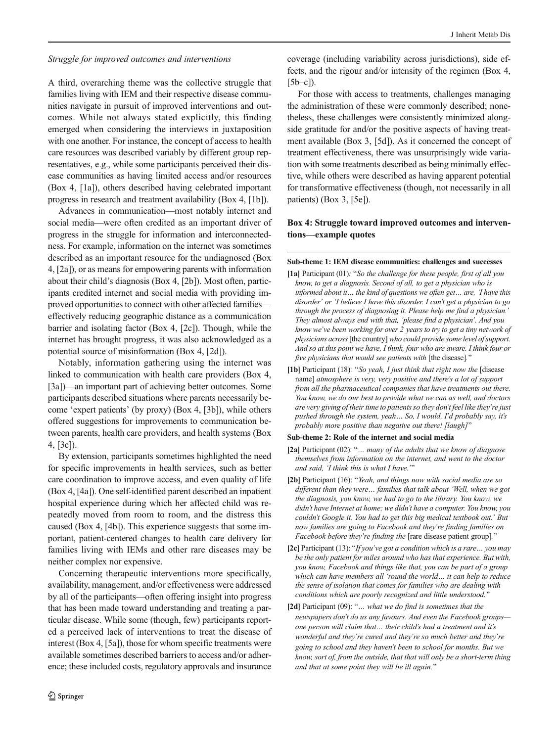Struggle for improved outcomes and interventions

A third, overarching theme was the collective struggle that families living with IEM and their respective disease communities navigate in pursuit of improved interventions and outcomes. While not always stated explicitly, this finding emerged when considering the interviews in juxtaposition with one another. For instance, the concept of access to health care resources was described variably by different group representatives, e.g., while some participants perceived their disease communities as having limited access and/or resources (Box 4, [1a]), others described having celebrated important progress in research and treatment availability (Box 4, [1b]).

Advances in communication—most notably internet and social media—were often credited as an important driver of progress in the struggle for information and interconnectedness. For example, information on the internet was sometimes described as an important resource for the undiagnosed (Box 4, [2a]), or as means for empowering parents with information about their child's diagnosis (Box 4, [2b]). Most often, participants credited internet and social media with providing improved opportunities to connect with other affected families effectively reducing geographic distance as a communication barrier and isolating factor (Box 4, [2c]). Though, while the internet has brought progress, it was also acknowledged as a potential source of misinformation (Box 4, [2d]).

Notably, information gathering using the internet was linked to communication with health care providers (Box 4, [3a])—an important part of achieving better outcomes. Some participants described situations where parents necessarily become 'expert patients' (by proxy) (Box 4, [3b]), while others offered suggestions for improvements to communication between parents, health care providers, and health systems (Box 4, [3c]).

By extension, participants sometimes highlighted the need for specific improvements in health services, such as better care coordination to improve access, and even quality of life (Box 4, [4a]). One self-identified parent described an inpatient hospital experience during which her affected child was repeatedly moved from room to room, and the distress this caused (Box 4, [4b]). This experience suggests that some important, patient-centered changes to health care delivery for families living with IEMs and other rare diseases may be neither complex nor expensive.

Concerning therapeutic interventions more specifically, availability, management, and/or effectiveness were addressed by all of the participants—often offering insight into progress that has been made toward understanding and treating a particular disease. While some (though, few) participants reported a perceived lack of interventions to treat the disease of interest (Box 4, [5a]), those for whom specific treatments were available sometimes described barriers to access and/or adherence; these included costs, regulatory approvals and insurance

coverage (including variability across jurisdictions), side effects, and the rigour and/or intensity of the regimen (Box 4,  $[5b-c]$ ).

For those with access to treatments, challenges managing the administration of these were commonly described; nonetheless, these challenges were consistently minimized alongside gratitude for and/or the positive aspects of having treatment available (Box 3, [5d]). As it concerned the concept of treatment effectiveness, there was unsurprisingly wide variation with some treatments described as being minimally effective, while others were described as having apparent potential for transformative effectiveness (though, not necessarily in all patients) (Box 3, [5e]).

# Box 4: Struggle toward improved outcomes and interventions—example quotes

#### Sub-theme 1: IEM disease communities: challenges and successes

- [1a] Participant  $(01)$ : "So the challenge for these people, first of all you know, to get a diagnosis. Second of all, to get a physician who is informed about it… the kind of questions we often get… are, 'I have this disorder' or 'I believe I have this disorder. I can't get a physician to go through the process of diagnosing it. Please help me find a physician.' They almost always end with that, 'please find a physician'. And you know we've been working for over 2 years to try to get a tiny network of physicians across [the country] who could provide some level of support. And so at this point we have, I think, four who are aware. I think four or five physicians that would see patients with [the disease]."
- [1b] Participant (18): "So yeah, I just think that right now the [disease name] atmosphere is very, very positive and there's a lot of support from all the pharmaceutical companies that have treatments out there. You know, we do our best to provide what we can as well, and doctors are very giving of their time to patients so they don't feel like they're just pushed through the system, yeah... So, I would, I'd probably say, it's probably more positive than negative out there! [laugh]"

#### Sub-theme 2: Role of the internet and social media

- [2a] Participant (02): "... many of the adults that we know of diagnose themselves from information on the internet, and went to the doctor and said,  $T$  think this is what I have."
- [ $2b$ ] Participant (16): "Yeah, and things now with social media are so different than they were… families that talk about 'Well, when we got the diagnosis, you know, we had to go to the library. You know, we didn't have Internet at home; we didn't have a computer. You know, you couldn't Google it. You had to get this big medical textbook out.' But now families are going to Facebook and they're finding families on Facebook before they're finding the [rare disease patient group]."
- [2c] Participant (13): "If you've got a condition which is a rare... you may be the only patient for miles around who has that experience. But with, you know, Facebook and things like that, you can be part of a group which can have members all 'round the world... it can help to reduce the sense of isolation that comes for families who are dealing with conditions which are poorly recognized and little understood."
- [2d] Participant (09): "... what we do find is sometimes that the newspapers don't do us any favours. And even the Facebook groups one person will claim that… their child's had a treatment and it's wonderful and they're cured and they're so much better and they're going to school and they haven't been to school for months. But we know, sort of, from the outside, that that will only be a short-term thing and that at some point they will be ill again."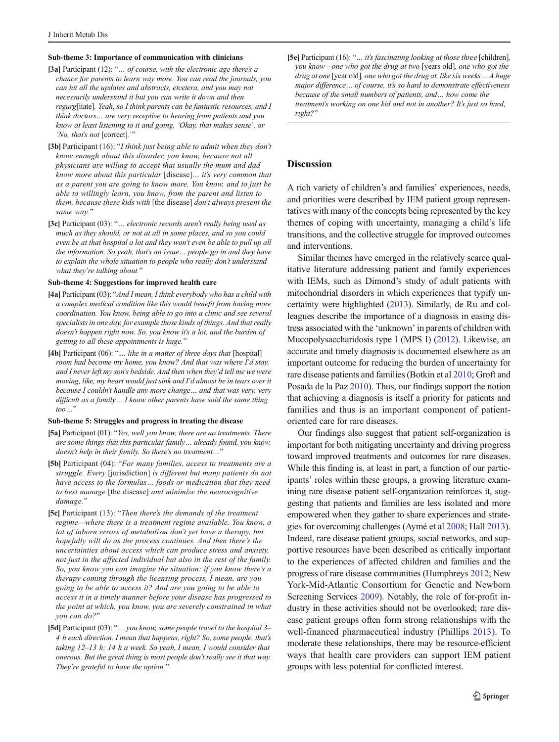#### Sub-theme 3: Importance of communication with clinicians

- [3a] Participant  $(12)$ : "... of course, with the electronic age there's a chance for parents to learn way more. You can read the journals, you can hit all the updates and abstracts, etcetera, and you may not necessarily understand it but you can write it down and then regurg[itate]. Yeah, so I think parents can be fantastic resources, and I think doctors… are very receptive to hearing from patients and you know at least listening to it and going, 'Okay, that makes sense', or 'No, that's not [correct].''
- [3b] Participant  $(16)$ : "I think just being able to admit when they don't know enough about this disorder, you know, because not all physicians are willing to accept that usually the mum and dad know more about this particular [disease]… it's very common that as a parent you are going to know more. You know, and to just be able to willingly learn, you know, from the parent and listen to them, because these kids with [the disease] don't always present the same way."
- [3c] Participant (03): "... electronic records aren't really being used as much as they should, or not at all in some places, and so you could even be at that hospital a lot and they won't even be able to pull up all the information. So yeah, that's an issue… people go in and they have to explain the whole situation to people who really don't understand what they're talking about."

#### Sub-theme 4: Suggestions for improved health care

- [4a] Participant  $(03)$ : "And I mean, I think everybody who has a child with a complex medical condition like this would benefit from having more coordination. You know, being able to go into a clinic and see several specialists in one day, for example those kinds of things. And that really doesn't happen right now. So, you know it's a lot, and the burden of getting to all these appointments is huge.'
- [4b] Participant (06): "... like in a matter of three days that [hospital] room had become my home, you know? And that was where I'd stay, and I never left my son's bedside. And then when they'd tell me we were moving, like, my heart would just sink and I'd almost be in tears over it because I couldn't handle any more change… and that was very, very difficult as a family… I know other parents have said the same thing  $\mathit{too} \dots$ "

#### Sub-theme 5: Struggles and progress in treating the disease

- [5a] Participant (01): "Yes, well you know, there are no treatments. There are some things that this particular family… already found, you know, doesn't help in their family. So there's no treatment...'
- [5b] Participant (04): "For many families, access to treatments are a struggle. Every [jurisdiction] is different but many patients do not have access to the formulas… foods or medication that they need to best manage [the disease] and minimize the neurocognitive damage."
- [5c] Participant (13): "Then there's the demands of the treatment regime—where there is a treatment regime available. You know, a lot of inborn errors of metabolism don't yet have a therapy, but hopefully will do as the process continues. And then there's the uncertainties about access which can produce stress and anxiety, not just in the affected individual but also in the rest of the family. So, you know you can imagine the situation: if you know there's a therapy coming through the licensing process, I mean, are you going to be able to access it? And are you going to be able to access it in a timely manner before your disease has progressed to the point at which, you know, you are severely constrained in what you can do?"
- [5d] Participant (03): "... you know, some people travel to the hospital 3– 4 h each direction. I mean that happens, right? So, some people, that's taking 12–13 h; 14 h a week. So yeah, I mean, I would consider that onerous. But the great thing is most people don't really see it that way. They're grateful to have the option. $\ddot{ }$

[5e] Participant (16): "... it's fascinating looking at those three [children], you know—one who got the drug at two [years old], one who got the drug at one [year old], one who got the drug at, like six weeks… A huge major difference… of course, it's so hard to demonstrate effectiveness because of the small numbers of patients, and… how come the treatment's working on one kid and not in another? It's just so hard, right?"

# Discussion

A rich variety of children's and families' experiences, needs, and priorities were described by IEM patient group representatives with many of the concepts being represented by the key themes of coping with uncertainty, managing a child's life transitions, and the collective struggle for improved outcomes and interventions.

Similar themes have emerged in the relatively scarce qualitative literature addressing patient and family experiences with IEMs, such as Dimond's study of adult patients with mitochondrial disorders in which experiences that typify uncertainty were highlighted ([2013](#page-8-0)). Similarly, de Ru and colleagues describe the importance of a diagnosis in easing distress associated with the 'unknown' in parents of children with Mucopolysaccharidosis type I (MPS I) ([2012](#page-8-0)). Likewise, an accurate and timely diagnosis is documented elsewhere as an important outcome for reducing the burden of uncertainty for rare disease patients and families (Botkin et al [2010;](#page-8-0) Groft and Posada de la Paz [2010\)](#page-8-0). Thus, our findings support the notion that achieving a diagnosis is itself a priority for patients and families and thus is an important component of patientoriented care for rare diseases.

Our findings also suggest that patient self-organization is important for both mitigating uncertainty and driving progress toward improved treatments and outcomes for rare diseases. While this finding is, at least in part, a function of our participants' roles within these groups, a growing literature examining rare disease patient self-organization reinforces it, suggesting that patients and families are less isolated and more empowered when they gather to share experiences and strategies for overcoming challenges (Aymé et al [2008](#page-8-0); Hall [2013\)](#page-8-0). Indeed, rare disease patient groups, social networks, and supportive resources have been described as critically important to the experiences of affected children and families and the progress of rare disease communities (Humphreys [2012;](#page-8-0) New York-Mid-Atlantic Consortium for Genetic and Newborn Screening Services [2009\)](#page-8-0). Notably, the role of for-profit industry in these activities should not be overlooked; rare disease patient groups often form strong relationships with the well-financed pharmaceutical industry (Phillips [2013](#page-8-0)). To moderate these relationships, there may be resource-efficient ways that health care providers can support IEM patient groups with less potential for conflicted interest.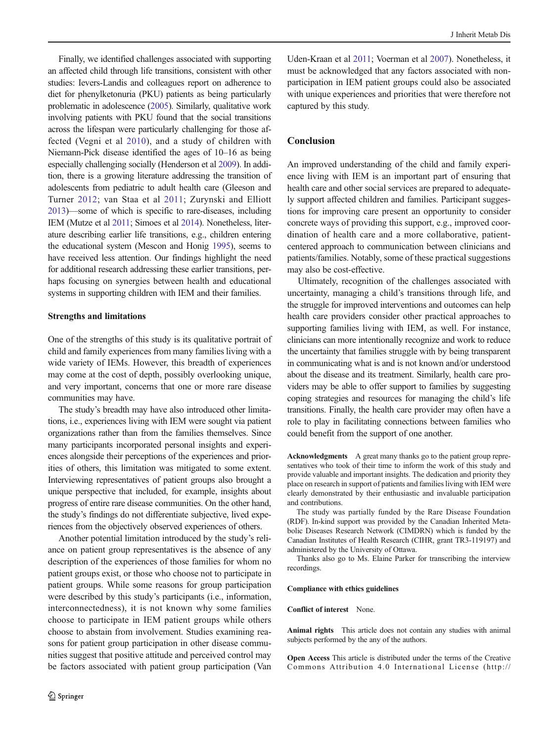Finally, we identified challenges associated with supporting an affected child through life transitions, consistent with other studies: Ievers-Landis and colleagues report on adherence to diet for phenylketonuria (PKU) patients as being particularly problematic in adolescence [\(2005\)](#page-8-0). Similarly, qualitative work involving patients with PKU found that the social transitions across the lifespan were particularly challenging for those affected (Vegni et al [2010\)](#page-8-0), and a study of children with Niemann-Pick disease identified the ages of 10–16 as being especially challenging socially (Henderson et al [2009\)](#page-8-0). In addition, there is a growing literature addressing the transition of adolescents from pediatric to adult health care (Gleeson and Turner [2012;](#page-8-0) van Staa et al [2011;](#page-8-0) Zurynski and Elliott [2013](#page-8-0))—some of which is specific to rare-diseases, including IEM (Mutze et al [2011;](#page-8-0) Simoes et al [2014](#page-8-0)). Nonetheless, literature describing earlier life transitions, e.g., children entering the educational system (Mescon and Honig [1995\)](#page-8-0), seems to have received less attention. Our findings highlight the need for additional research addressing these earlier transitions, perhaps focusing on synergies between health and educational systems in supporting children with IEM and their families.

#### Strengths and limitations

One of the strengths of this study is its qualitative portrait of child and family experiences from many families living with a wide variety of IEMs. However, this breadth of experiences may come at the cost of depth, possibly overlooking unique, and very important, concerns that one or more rare disease communities may have.

The study's breadth may have also introduced other limitations, i.e., experiences living with IEM were sought via patient organizations rather than from the families themselves. Since many participants incorporated personal insights and experiences alongside their perceptions of the experiences and priorities of others, this limitation was mitigated to some extent. Interviewing representatives of patient groups also brought a unique perspective that included, for example, insights about progress of entire rare disease communities. On the other hand, the study's findings do not differentiate subjective, lived experiences from the objectively observed experiences of others.

Another potential limitation introduced by the study's reliance on patient group representatives is the absence of any description of the experiences of those families for whom no patient groups exist, or those who choose not to participate in patient groups. While some reasons for group participation were described by this study's participants (i.e., information, interconnectedness), it is not known why some families choose to participate in IEM patient groups while others choose to abstain from involvement. Studies examining reasons for patient group participation in other disease communities suggest that positive attitude and perceived control may be factors associated with patient group participation (Van

Uden-Kraan et al [2011;](#page-8-0) Voerman et al [2007\)](#page-8-0). Nonetheless, it must be acknowledged that any factors associated with nonparticipation in IEM patient groups could also be associated with unique experiences and priorities that were therefore not captured by this study.

## Conclusion

An improved understanding of the child and family experience living with IEM is an important part of ensuring that health care and other social services are prepared to adequately support affected children and families. Participant suggestions for improving care present an opportunity to consider concrete ways of providing this support, e.g., improved coordination of health care and a more collaborative, patientcentered approach to communication between clinicians and patients/families. Notably, some of these practical suggestions may also be cost-effective.

Ultimately, recognition of the challenges associated with uncertainty, managing a child's transitions through life, and the struggle for improved interventions and outcomes can help health care providers consider other practical approaches to supporting families living with IEM, as well. For instance, clinicians can more intentionally recognize and work to reduce the uncertainty that families struggle with by being transparent in communicating what is and is not known and/or understood about the disease and its treatment. Similarly, health care providers may be able to offer support to families by suggesting coping strategies and resources for managing the child's life transitions. Finally, the health care provider may often have a role to play in facilitating connections between families who could benefit from the support of one another.

Acknowledgments A great many thanks go to the patient group representatives who took of their time to inform the work of this study and provide valuable and important insights. The dedication and priority they place on research in support of patients and families living with IEM were clearly demonstrated by their enthusiastic and invaluable participation and contributions.

The study was partially funded by the Rare Disease Foundation (RDF). In-kind support was provided by the Canadian Inherited Metabolic Diseases Research Network (CIMDRN) which is funded by the Canadian Institutes of Health Research (CIHR, grant TR3-119197) and administered by the University of Ottawa.

Thanks also go to Ms. Elaine Parker for transcribing the interview recordings.

#### Compliance with ethics guidelines

Conflict of interest None.

Animal rights This article does not contain any studies with animal subjects performed by the any of the authors.

Open Access This article is distributed under the terms of the Creative Commons Attribution 4.0 International License (http://